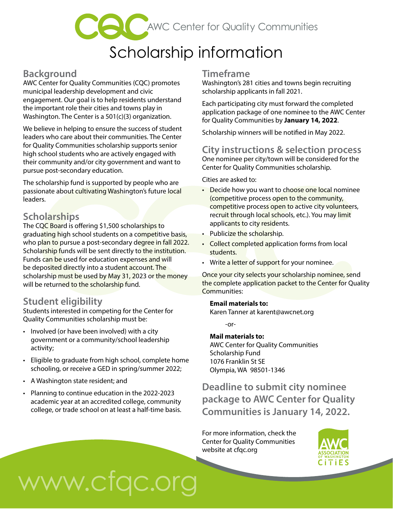## **CCC** AWC Center for Quality Communities

### Scholarship information

#### **Background**

AWC Center for Quality Communities (CQC) promotes municipal leadership development and civic engagement. Our goal is to help residents understand the important role their cities and towns play in Washington. The Center is a 501(c)(3) organization.

We believe in helping to ensure the success of student leaders who care about their communities. The Center for Quality Communities scholarship supports senior high school students who are actively engaged with their community and/or city government and want to pursue post-secondary education.

The scholarship fund is supported by people who are passionate about cultivating Washington's future local leaders.

#### **Scholarships**

The CQC Board is offering \$1,500 scholarships to graduating high school students on a competitive basis, who plan to pursue a post-secondary degree in fall 2022. Scholarship funds will be sent directly to the institution. Funds can be used for education expenses and will be deposited directly into a student account. The scholarship must be used by May 31, 2023 or the money will be returned to the scholarship fund.

#### **Student eligibility**

Students interested in competing for the Center for Quality Communities scholarship must be:

- Involved (or have been involved) with a city government or a community/school leadership activity;
- Eligible to graduate from high school, complete home schooling, or receive a GED in spring/summer 2022;
- A Washington state resident; and
- Planning to continue education in the 2022-2023 academic year at an accredited college, community college, or trade school on at least a half-time basis.

#### **Timeframe**

Washington's 281 cities and towns begin recruiting scholarship applicants in fall 2021.

Each participating city must forward the completed application package of one nominee to the AWC Center for Quality Communities by **January 14, 2022**.

Scholarship winners will be notifed in May 2022.

#### **City instructions & selection process**

One nominee per city/town will be considered for the Center for Quality Communities scholarship.

Cities are asked to:

- Decide how you want to choose one local nominee (competitive process open to the community, competitive process open to active city volunteers, recruit through local schools, etc.). You may limit applicants to city residents.
- Publicize the scholarship.
- Collect completed application forms from local students.
- Write a letter of support for your nominee.

Once your city selects your scholarship nominee, send the complete application packet to the Center for Quality Communities:

#### **Email materials to:**

Karen Tanner at [karent@awcnet.org](mailto:karent@awcnet.org)

-or-

#### **Mail materials to:**

AWC Center for Quality Communities Scholarship Fund 1076 Franklin St SE Olympia, WA 98501-1346

**Deadline to submit city nominee package to AWC Center for Quality Communities is January 14, 2022.** 

For more information, check the Center for Quality Communities website at [cfqc.org](https://cfqc.org)



# www.cfqc.org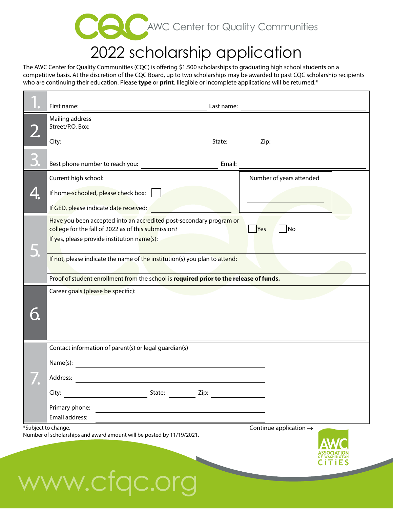

## 2022 scholarship application

The AWC Center for Quality Communities (CQC) is offering \$1,500 scholarships to graduating high school students on a competitive basis. At the discretion of the CQC Board, up to two scholarships may be awarded to past CQC scholarship recipients who are continuing their education. Please **type** or **print**. Illegible or incomplete applications will be returned.\*

٦

|                 | First name:                                                                            |                                                                                                                                                                           | Last name: |      |                                    |      |  |
|-----------------|----------------------------------------------------------------------------------------|---------------------------------------------------------------------------------------------------------------------------------------------------------------------------|------------|------|------------------------------------|------|--|
|                 | Mailing address<br>Street/P.O. Box:                                                    |                                                                                                                                                                           |            |      |                                    |      |  |
|                 | City:                                                                                  |                                                                                                                                                                           | State:     | Zip: |                                    |      |  |
|                 | Best phone number to reach you:                                                        |                                                                                                                                                                           | Email:     |      |                                    |      |  |
|                 | Current high school:                                                                   |                                                                                                                                                                           |            |      | Number of years attended           |      |  |
|                 | If home-schooled, please check box:                                                    |                                                                                                                                                                           |            |      |                                    |      |  |
|                 | If GED, please indicate date received:                                                 |                                                                                                                                                                           |            |      |                                    |      |  |
|                 |                                                                                        | Have you been accepted into an accredited post-secondary program or<br>college for the fall of 2022 as of this submission?<br>If yes, please provide institution name(s): |            | Yes  | $\overline{\mathsf{No}}$           |      |  |
|                 |                                                                                        | If not, please indicate the name of the institution(s) you plan to attend:                                                                                                |            |      |                                    |      |  |
|                 | Proof of student enrollment from the school is required prior to the release of funds. |                                                                                                                                                                           |            |      |                                    |      |  |
|                 |                                                                                        |                                                                                                                                                                           |            |      |                                    |      |  |
|                 |                                                                                        | Contact information of parent(s) or legal guardian(s)                                                                                                                     |            |      |                                    |      |  |
|                 | Name(s):                                                                               |                                                                                                                                                                           |            |      |                                    |      |  |
|                 | Address:                                                                               |                                                                                                                                                                           |            |      |                                    |      |  |
| $\mathbf{r}$ of | City:                                                                                  | State:                                                                                                                                                                    | Zip:       |      |                                    |      |  |
|                 | Primary phone:                                                                         |                                                                                                                                                                           |            |      |                                    |      |  |
|                 | Email address:                                                                         |                                                                                                                                                                           |            |      |                                    |      |  |
|                 | *Subject to change.                                                                    | Number of scholarships and award amount will be posted by 11/19/2021.                                                                                                     |            |      | Continue application $\rightarrow$ | TIES |  |
|                 |                                                                                        | www.cfgc.org                                                                                                                                                              |            |      |                                    |      |  |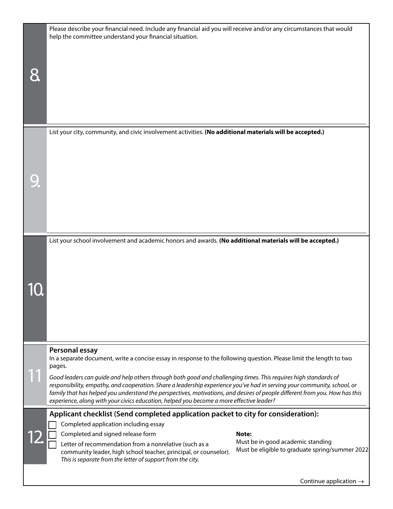|  | Please describe your financial need. Include any financial aid you will receive and/or any circumstances that would<br>help the committee understand your financial situation.                                                                                                                                                                                                                                                                                         |  |  |  |  |  |
|--|------------------------------------------------------------------------------------------------------------------------------------------------------------------------------------------------------------------------------------------------------------------------------------------------------------------------------------------------------------------------------------------------------------------------------------------------------------------------|--|--|--|--|--|
|  |                                                                                                                                                                                                                                                                                                                                                                                                                                                                        |  |  |  |  |  |
|  | List your city, community, and civic involvement activities. (No additional materials will be accepted.)                                                                                                                                                                                                                                                                                                                                                               |  |  |  |  |  |
|  |                                                                                                                                                                                                                                                                                                                                                                                                                                                                        |  |  |  |  |  |
|  |                                                                                                                                                                                                                                                                                                                                                                                                                                                                        |  |  |  |  |  |
|  | List your school involvement and academic honors and awards. (No additional materials will be accepted.)                                                                                                                                                                                                                                                                                                                                                               |  |  |  |  |  |
|  |                                                                                                                                                                                                                                                                                                                                                                                                                                                                        |  |  |  |  |  |
|  |                                                                                                                                                                                                                                                                                                                                                                                                                                                                        |  |  |  |  |  |
|  |                                                                                                                                                                                                                                                                                                                                                                                                                                                                        |  |  |  |  |  |
|  |                                                                                                                                                                                                                                                                                                                                                                                                                                                                        |  |  |  |  |  |
|  | Personal essay<br>In a separate document, write a concise essay in response to the following question. Please limit the length to two<br>pages.                                                                                                                                                                                                                                                                                                                        |  |  |  |  |  |
|  | Good leaders can quide and help others through both good and challenging times. This requires high standards of<br>responsibility, empathy, and cooperation. Share a leadership experience you've had in serving your community, school, or<br>family that has helped you understand the perspectives, motivations, and desires of people different from you. How has this<br>experience, along with your civics education, helped you become a more effective leader? |  |  |  |  |  |
|  | Applicant checklist (Send completed application packet to city for consideration):<br>Completed application including essay                                                                                                                                                                                                                                                                                                                                            |  |  |  |  |  |
|  | Completed and signed release form<br>Note:<br>Must be in good academic standing                                                                                                                                                                                                                                                                                                                                                                                        |  |  |  |  |  |
|  | Letter of recommendation from a nonrelative (such as a<br>Must be eligible to graduate spring/summer 2022<br>community leader, high school teacher, principal, or counselor).<br>This is separate from the letter of support from the city.                                                                                                                                                                                                                            |  |  |  |  |  |
|  |                                                                                                                                                                                                                                                                                                                                                                                                                                                                        |  |  |  |  |  |